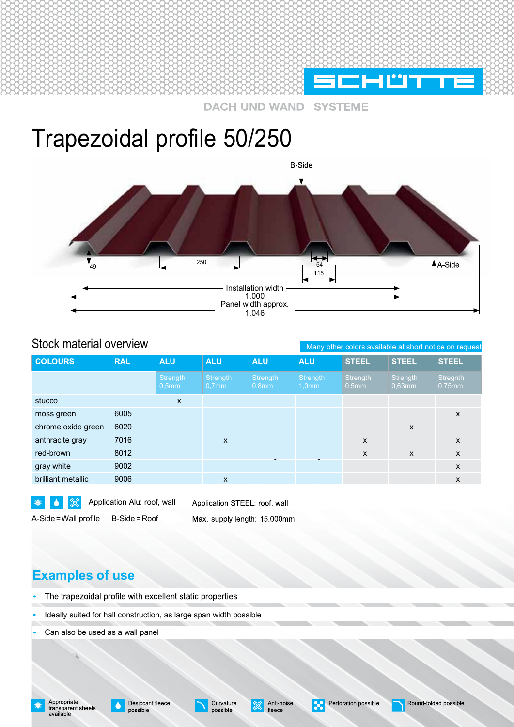

**WAND SYSTEME** 

# Trapezoidal profile 50/250



### Stock material overview

Many other colors available at short notice on request

| <b>COLOURS</b>     | <b>RAL</b> | <b>ALU</b>        | <b>ALU</b>           | <b>ALU</b>        | <b>ALU</b>                    | <b>STEEL</b>         | <b>STEEL</b>          | <b>STEEL</b>          |
|--------------------|------------|-------------------|----------------------|-------------------|-------------------------------|----------------------|-----------------------|-----------------------|
|                    |            | Strength<br>0,5mm | Strength<br>$0,7$ mm | Strength<br>0,8mm | Strength<br>1.0 <sub>mm</sub> | Strength<br>$0,5$ mm | Strength<br>$0.63$ mm | Stregnth<br>$0,75$ mm |
| stucco             |            | X                 |                      |                   |                               |                      |                       |                       |
| moss green         | 6005       |                   |                      |                   |                               |                      |                       | X                     |
| chrome oxide green | 6020       |                   |                      |                   |                               |                      | $\mathsf{x}$          |                       |
| anthracite gray    | 7016       |                   | $\mathsf{x}$         |                   |                               | $\mathsf{x}$         |                       | $\mathsf{x}$          |
| red-brown          | 8012       |                   |                      |                   |                               | $\mathsf{x}$         | $\mathsf{x}$          | $\mathsf{x}$          |
| gray white         | 9002       |                   |                      |                   |                               |                      |                       | $\mathsf{x}$          |
| brilliant metallic | 9006       |                   | $\mathsf{x}$         |                   |                               |                      |                       | X                     |
|                    |            |                   |                      |                   |                               |                      |                       |                       |

 $\blacktriangle$ 坐

Application ALU: Application Alu: roof, wall A-Side=Wall profile B-Side =Roof

Application STEEL: roof, wall Max. supply length: 15.000mm

# **Examples of use Examples of use**

- The trapezoidal profile with excellent static properties
- Ideally suited for hall construction, as large span width Ideally suited for hall construction, as large span width possible
- Can also be used as a wall panel

profile A-Side=Wall profile B-Side =Roof

Appropriate<br>transparent sheets<br>available



Anti-noise fleece